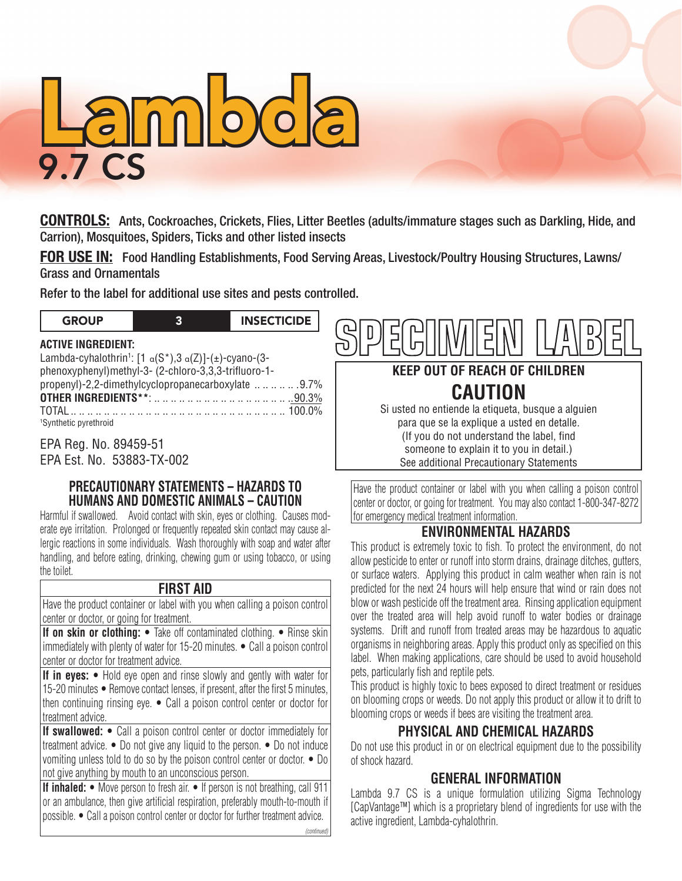

**CONTROLS:** Ants, Cockroaches, Crickets, Flies, Litter Beetles (adults/immature stages such as Darkling, Hide, and Carrion), Mosquitoes, Spiders, Ticks and other listed insects

**FOR USE IN:** Food Handling Establishments, Food Serving Areas, Livestock/Poultry Housing Structures, Lawns/ Grass and Ornamentals

GROUP 3 INSECTICIDE

#### **ACTIVE INGREDIENT:**

Refer to the label for additional use sites and pests controlled.<br> **GROUP** 3 INSECTICIDE<br>
ACTIVE INGREDIENT:<br>
Lambda-cyhalothrin<sup>1</sup>: [1  $\alpha(S^*), 3 \alpha(Z)$ ]-(±)-cyano-(3-Lambda-cyhalothrin<sup>1</sup>: [1  $\alpha$ (S\*),3  $\alpha$ (Z)]-(±)-cyano-(3phenoxyphenyl)methyl-3- (2-chloro-3,3,3-trifluoro-1 propenyl)-2,2-dimethylcyclopropanecarboxylate .. .. .. .. .. 9.7% **OTHER INGREDIENTS\*\***: .. .. .. .. .. .. .. .. .. .. .. .. .. .. .. .. .90.3% TOTAL. .. .100.0% 1 Synthetic pyrethroid Lambda-cyhalothrin': [1<br>phenoxyphenyl)methyl-3<br>propenyl)-2,2-dimethylc

EPA Reg. No. 89459-51 EPA Est. No. 53883-TX-002

## **PRECAUTIONARY STATEMENTS – HAZARDS TO HUMANS AND DOMESTIC ANIMALS – CAUTION**

Harmful if swallowed. Avoid contact with skin, eyes or clothing. Causes moderate eye irritation. Prolonged or frequently repeated skin contact may cause allergic reactions in some individuals. Wash thoroughly with soap and water after handling, and before eating, drinking, chewing gum or using tobacco, or using the toilet.

## **FIRST AID**

Have the product container or label with you when calling a poison control center or doctor, or going for treatment.

**If on skin or clothing:** • Take off contaminated clothing. • Rinse skin immediately with plenty of water for 15-20 minutes. • Call a poison control center or doctor for treatment advice.

**If in eyes:** • Hold eye open and rinse slowly and gently with water for 15-20 minutes • Remove contact lenses, if present, after the first 5 minutes, then continuing rinsing eye. • Call a poison control center or doctor for treatment advice.

**If swallowed:** • Call a poison control center or doctor immediately for treatment advice. • Do not give any liquid to the person. • Do not induce vomiting unless told to do so by the poison control center or doctor. • Do not give anything by mouth to an unconscious person.

**If inhaled:** • Move person to fresh air. • If person is not breathing, call 911 or an ambulance, then give artificial respiration, preferably mouth-to-mouth if possible. • Call a poison control center or doctor for further treatment advice.



# **KEEP OUT OF REACH OF CHILDREN CAUTION**

Si usted no entiende la etiqueta, busque a alguien para que se la explique a usted en detalle. (If you do not understand the label, find someone to explain it to you in detail.) See additional Precautionary Statements

Have the product container or label with you when calling a poison control center or doctor, or going for treatment. You may also contact 1-800-347-8272 for emergency medical treatment information.

# **ENVIRONMENTAL HAZARDS**

This product is extremely toxic to fish. To protect the environment, do not allow pesticide to enter or runoff into storm drains, drainage ditches, gutters, or surface waters. Applying this product in calm weather when rain is not predicted for the next 24 hours will help ensure that wind or rain does not blow or wash pesticide off the treatment area. Rinsing application equipment over the treated area will help avoid runoff to water bodies or drainage systems. Drift and runoff from treated areas may be hazardous to aquatic organisms in neighboring areas. Apply this product only as specified on this label. When making applications, care should be used to avoid household pets, particularly fish and reptile pets.

This product is highly toxic to bees exposed to direct treatment or residues on blooming crops or weeds. Do not apply this product or allow it to drift to blooming crops or weeds if bees are visiting the treatment area.

## **PHYSICAL AND CHEMICAL HAZARDS**

Do not use this product in or on electrical equipment due to the possibility of shock hazard.

# **GENERAL INFORMATION**

Lambda 9.7 CS is a unique formulation utilizing Sigma Technology [CapVantage™] which is a proprietary blend of ingredients for use with the active ingredient, Lambda-cyhalothrin.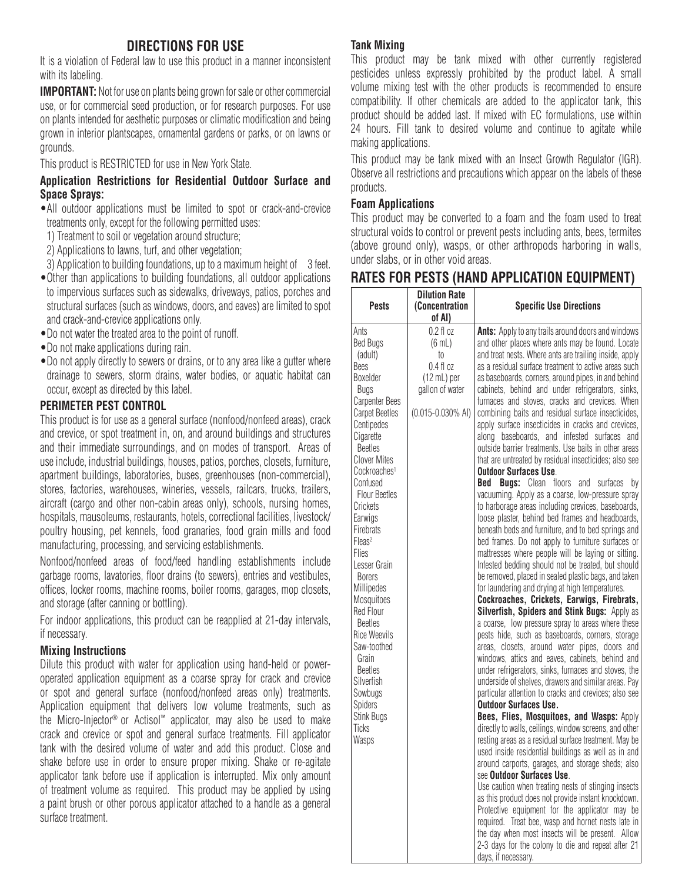# **DIRECTIONS FOR USE**

It is a violation of Federal law to use this product in a manner inconsistent with its labeling.

**IMPORTANT:** Not for use on plants being grown for sale or other commercial use, or for commercial seed production, or for research purposes. For use on plants intended for aesthetic purposes or climatic modification and being grown in interior plantscapes, ornamental gardens or parks, or on lawns or grounds.

This product is RESTRICTED for use in New York State.

#### **Application Restrictions for Residential Outdoor Surface and Space Sprays:**

- •All outdoor applications must be limited to spot or crack-and-crevice treatments only, except for the following permitted uses:
- 1) Treatment to soil or vegetation around structure;
- 2) Applications to lawns, turf, and other vegetation;
- 3) Application to building foundations, up to a maximum height of 3 feet.
- •Other than applications to building foundations, all outdoor applications to impervious surfaces such as sidewalks, driveways, patios, porches and structural surfaces (such as windows, doors, and eaves) are limited to spot and crack-and-crevice applications only.
- •Do not water the treated area to the point of runoff.
- •Do not make applications during rain.
- •Do not apply directly to sewers or drains, or to any area like a gutter where drainage to sewers, storm drains, water bodies, or aquatic habitat can occur, except as directed by this label.

#### **PERIMETER PEST CONTROL**

This product is for use as a general surface (nonfood/nonfeed areas), crack and crevice, or spot treatment in, on, and around buildings and structures and their immediate surroundings, and on modes of transport. Areas of use include, industrial buildings, houses, patios, porches, closets, furniture, apartment buildings, laboratories, buses, greenhouses (non-commercial), stores, factories, warehouses, wineries, vessels, railcars, trucks, trailers, aircraft (cargo and other non-cabin areas only), schools, nursing homes, hospitals, mausoleums, restaurants, hotels, correctional facilities, livestock/ poultry housing, pet kennels, food granaries, food grain mills and food manufacturing, processing, and servicing establishments.

Nonfood/nonfeed areas of food/feed handling establishments include garbage rooms, lavatories, floor drains (to sewers), entries and vestibules, offices, locker rooms, machine rooms, boiler rooms, garages, mop closets, and storage (after canning or bottling).

For indoor applications, this product can be reapplied at 21-day intervals, if necessary.

#### **Mixing Instructions**

Dilute this product with water for application using hand-held or poweroperated application equipment as a coarse spray for crack and crevice or spot and general surface (nonfood/nonfeed areas only) treatments. Application equipment that delivers low volume treatments, such as the Micro-Injector® or Actisol™ applicator, may also be used to make crack and crevice or spot and general surface treatments. Fill applicator tank with the desired volume of water and add this product. Close and shake before use in order to ensure proper mixing. Shake or re-agitate applicator tank before use if application is interrupted. Mix only amount of treatment volume as required. This product may be applied by using a paint brush or other porous applicator attached to a handle as a general surface treatment.

#### **Tank Mixing**

This product may be tank mixed with other currently registered pesticides unless expressly prohibited by the product label. A small volume mixing test with the other products is recommended to ensure compatibility. If other chemicals are added to the applicator tank, this product should be added last. If mixed with EC formulations, use within 24 hours. Fill tank to desired volume and continue to agitate while making applications.

This product may be tank mixed with an Insect Growth Regulator (IGR). Observe all restrictions and precautions which appear on the labels of these products.

#### **Foam Applications**

This product may be converted to a foam and the foam used to treat structural voids to control or prevent pests including ants, bees, termites (above ground only), wasps, or other arthropods harboring in walls, under slabs, or in other void areas.

# **RATES FOR PESTS (HAND APPLICATION EQUIPMENT)**

| <b>Pests</b>                                                                                                                                                                                                                                                                                                                                                                                                                                                                                                                                             | <b>Dilution Rate</b><br><b>(Concentration</b><br>of AI)                                                                | <b>Specific Use Directions</b>                                                                                                                                                                                                                                                                                                                                                                                                                                                                                                                                                                                                                                                                                                                                                                                                                                                                                                                                                                                                                                                                                                                                                                                                                                                                                                                                                                                                                                                                                                                                                                                                                                                                                                                                                                                                                                                                                                                                                                                                                                                                                                                                                                                                                                                                                                                                                                                                                     |
|----------------------------------------------------------------------------------------------------------------------------------------------------------------------------------------------------------------------------------------------------------------------------------------------------------------------------------------------------------------------------------------------------------------------------------------------------------------------------------------------------------------------------------------------------------|------------------------------------------------------------------------------------------------------------------------|----------------------------------------------------------------------------------------------------------------------------------------------------------------------------------------------------------------------------------------------------------------------------------------------------------------------------------------------------------------------------------------------------------------------------------------------------------------------------------------------------------------------------------------------------------------------------------------------------------------------------------------------------------------------------------------------------------------------------------------------------------------------------------------------------------------------------------------------------------------------------------------------------------------------------------------------------------------------------------------------------------------------------------------------------------------------------------------------------------------------------------------------------------------------------------------------------------------------------------------------------------------------------------------------------------------------------------------------------------------------------------------------------------------------------------------------------------------------------------------------------------------------------------------------------------------------------------------------------------------------------------------------------------------------------------------------------------------------------------------------------------------------------------------------------------------------------------------------------------------------------------------------------------------------------------------------------------------------------------------------------------------------------------------------------------------------------------------------------------------------------------------------------------------------------------------------------------------------------------------------------------------------------------------------------------------------------------------------------------------------------------------------------------------------------------------------------|
| Ants<br><b>Bed Bugs</b><br>(adult)<br>Bees<br>Boxelder<br>Bugs<br><b>Carpenter Bees</b><br>Carpet Beetles<br>Centipedes<br>Cigarette<br><b>Beetles</b><br><b>Clover Mites</b><br>Cockroaches <sup>1</sup><br>Confused<br><b>Flour Beetles</b><br>Crickets<br>Earwigs<br>Firebrats<br>Fleas <sup>2</sup><br>Flies<br>Lesser Grain<br><b>Borers</b><br>Millipedes<br>Mosquitoes<br><b>Red Flour</b><br><b>Beetles</b><br>Rice Weevils<br>Saw-toothed<br>Grain<br><b>Beetles</b><br>Silverfish<br>Sowbugs<br><b>Spiders</b><br>Stink Bugs<br>Ticks<br>Wasps | 0.2 f1 oz<br>$(6 \text{ mL})$<br>to<br>0.4 fl oz<br>$(12 \text{ mL})$ per<br>gallon of water<br>$(0.015 - 0.030\%$ AI) | Ants: Apply to any trails around doors and windows<br>and other places where ants may be found. Locate<br>and treat nests. Where ants are trailing inside, apply<br>as a residual surface treatment to active areas such<br>as baseboards, corners, around pipes, in and behind<br>cabinets, behind and under refrigerators, sinks,<br>furnaces and stoves, cracks and crevices. When<br>combining baits and residual surface insecticides,<br>apply surface insecticides in cracks and crevices,<br>along baseboards, and infested surfaces and<br>outside barrier treatments. Use baits in other areas<br>that are untreated by residual insecticides; also see<br><b>Outdoor Surfaces Use.</b><br>Bed<br><b>Bugs:</b> Clean floors<br>surfaces<br>and<br>bv<br>vacuuming. Apply as a coarse, low-pressure spray<br>to harborage areas including crevices, baseboards,<br>loose plaster, behind bed frames and headboards,<br>beneath beds and furniture, and to bed springs and<br>bed frames. Do not apply to furniture surfaces or<br>mattresses where people will be laying or sitting.<br>Infested bedding should not be treated, but should<br>be removed, placed in sealed plastic bags, and taken<br>for laundering and drying at high temperatures.<br>Cockroaches, Crickets, Earwigs, Firebrats,<br>Silverfish, Spiders and Stink Bugs: Apply as<br>a coarse, low pressure spray to areas where these<br>pests hide, such as baseboards, corners, storage<br>areas, closets, around water pipes, doors and<br>windows, attics and eaves, cabinets, behind and<br>under refrigerators, sinks, furnaces and stoves, the<br>underside of shelves, drawers and similar areas. Pay<br>particular attention to cracks and crevices; also see<br><b>Outdoor Surfaces Use.</b><br>Bees, Flies, Mosquitoes, and Wasps: Apply<br>directly to walls, ceilings, window screens, and other<br>resting areas as a residual surface treatment. May be<br>used inside residential buildings as well as in and<br>around carports, garages, and storage sheds; also<br>see Outdoor Surfaces Use.<br>Use caution when treating nests of stinging insects<br>as this product does not provide instant knockdown.<br>Protective equipment for the applicator may be<br>required. Treat bee, wasp and hornet nests late in<br>the day when most insects will be present. Allow<br>2-3 days for the colony to die and repeat after 21<br>days, if necessary. |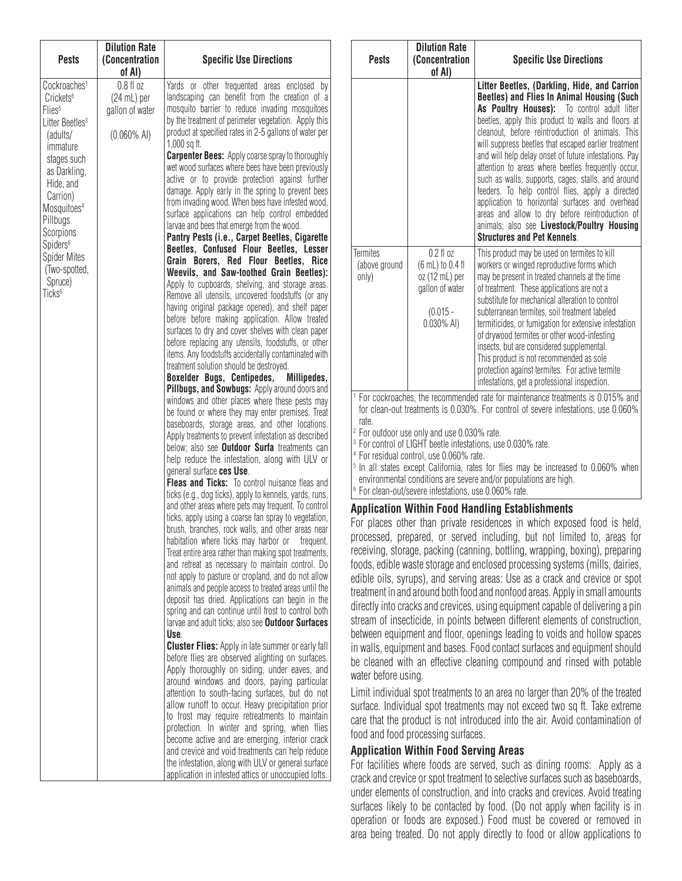| <b>Pests</b>                                                                                                                                                                                                                                                                                                                                | <b>Dilution Rate</b><br>(Concentration<br>of AI)                         | <b>Specific Use Directions</b>                                                                                                                                                                                                                                                                                                                                                                                                                                                                                                                                                                                                                                                                                                                                                                                                                                                                                                                                                                                                                                                                                                                                                                                                                                                                                                                                                                                                                                                                                                                                                                                                                                                                                                                                                                                                                                                                                                                                                                                                                                                                                                                                                                                                                                                                                                                                                                                                                                                                                                                                                                                                                                                                                                                                                                                                                                                                                                                                                                                                                                                                                           |
|---------------------------------------------------------------------------------------------------------------------------------------------------------------------------------------------------------------------------------------------------------------------------------------------------------------------------------------------|--------------------------------------------------------------------------|--------------------------------------------------------------------------------------------------------------------------------------------------------------------------------------------------------------------------------------------------------------------------------------------------------------------------------------------------------------------------------------------------------------------------------------------------------------------------------------------------------------------------------------------------------------------------------------------------------------------------------------------------------------------------------------------------------------------------------------------------------------------------------------------------------------------------------------------------------------------------------------------------------------------------------------------------------------------------------------------------------------------------------------------------------------------------------------------------------------------------------------------------------------------------------------------------------------------------------------------------------------------------------------------------------------------------------------------------------------------------------------------------------------------------------------------------------------------------------------------------------------------------------------------------------------------------------------------------------------------------------------------------------------------------------------------------------------------------------------------------------------------------------------------------------------------------------------------------------------------------------------------------------------------------------------------------------------------------------------------------------------------------------------------------------------------------------------------------------------------------------------------------------------------------------------------------------------------------------------------------------------------------------------------------------------------------------------------------------------------------------------------------------------------------------------------------------------------------------------------------------------------------------------------------------------------------------------------------------------------------------------------------------------------------------------------------------------------------------------------------------------------------------------------------------------------------------------------------------------------------------------------------------------------------------------------------------------------------------------------------------------------------------------------------------------------------------------------------------------------------|
| Cockroaches <sup>1</sup><br>Crickets <sup>6</sup><br>Flies <sup>5</sup><br>Litter Beetles <sup>3</sup><br>(adults/<br>immature<br>stages such<br>as Darkling,<br>Hide, and<br>Carrion)<br>Mosquitoes <sup>4</sup><br>Pillbugs<br>Scorpions<br>Spiders <sup>6</sup><br><b>Spider Mites</b><br>(Two-spotted,<br>Spruce)<br>Ticks <sup>6</sup> | $0.8f1$ oz<br>$(24 \text{ mL})$ per<br>gallon of water<br>$(0.060\%$ AI) | Yards or other frequented areas enclosed by<br>landscaping can benefit from the creation of a<br>mosquito barrier to reduce invading mosquitoes<br>by the treatment of perimeter vegetation. Apply this<br>product at specified rates in 2-5 gallons of water per<br>1,000 sq ft.<br><b>Carpenter Bees:</b> Apply coarse spray to thoroughly<br>wet wood surfaces where bees have been previously<br>active or to provide protection against further<br>damage. Apply early in the spring to prevent bees<br>from invading wood. When bees have infested wood,<br>surface applications can help control embedded<br>larvae and bees that emerge from the wood.<br>Pantry Pests (i.e., Carpet Beetles, Cigarette<br>Beetles, Confused Flour Beetles, Lesser<br>Grain Borers, Red Flour Beetles, Rice<br>Weevils, and Saw-toothed Grain Beetles):<br>Apply to cupboards, shelving, and storage areas.<br>Remove all utensils, uncovered foodstuffs (or any<br>having original package opened), and shelf paper<br>before before making application. Allow treated<br>surfaces to dry and cover shelves with clean paper<br>before replacing any utensils, foodstuffs, or other<br>items. Any foodstuffs accidentally contaminated with<br>treatment solution should be destroyed.<br>Boxelder Bugs, Centipedes,<br>Millipedes,<br>Pillbugs, and Sowbugs: Apply around doors and<br>windows and other places where these pests may<br>be found or where they may enter premises. Treat<br>baseboards, storage areas, and other locations.<br>Apply treatments to prevent infestation as described<br>below; also see <b>Outdoor Surfa</b> treatments can<br>help reduce the infestation, along with ULV or<br>general surface ces Use.<br>Fleas and Ticks: To control nuisance fleas and<br>ticks (e.g., dog ticks), apply to kennels, yards, runs,<br>and other areas where pets may frequent. To control<br>ticks, apply using a coarse fan spray to vegetation,<br>brush, branches, rock walls, and other areas near<br>habitation where ticks may harbor or frequent.<br>Treat entire area rather than making spot treatments,<br>and retreat as necessary to maintain control. Do<br>not apply to pasture or cropland, and do not allow<br>animals and people access to treated areas until the<br>deposit has dried. Applications can begin in the<br>spring and can continue until frost to control both<br>larvae and adult ticks; also see <b>Outdoor Surfaces</b><br>Use.<br><b>Cluster Flies:</b> Apply in late summer or early fall<br>before flies are observed alighting on surfaces.<br>Apply thoroughly on siding, under eaves, and<br>around windows and doors, paying particular<br>attention to south-facing surfaces, but do not<br>allow runoff to occur. Heavy precipitation prior<br>to frost may require retreatments to maintain<br>protection. In winter and spring, when flies<br>become active and are emerging, interior crack<br>and crevice and void treatments can help reduce<br>the infestation, along with ULV or general surface<br>application in infested attics or unoccupied lofts. |

| <b>Pests</b>                                                                                                                                                                      | <b>Dilution Rate</b><br><b>(Concentration</b><br>of Al)                                               | <b>Specific Use Directions</b>                                                                                                                                                                                                                                                                                                                                                                                                                                                                                                                                                                                                                                                                                                  |  |  |
|-----------------------------------------------------------------------------------------------------------------------------------------------------------------------------------|-------------------------------------------------------------------------------------------------------|---------------------------------------------------------------------------------------------------------------------------------------------------------------------------------------------------------------------------------------------------------------------------------------------------------------------------------------------------------------------------------------------------------------------------------------------------------------------------------------------------------------------------------------------------------------------------------------------------------------------------------------------------------------------------------------------------------------------------------|--|--|
|                                                                                                                                                                                   |                                                                                                       | Litter Beetles, (Darkling, Hide, and Carrion<br>Beetles) and Flies In Animal Housing (Such<br>As Poultry Houses): To control adult litter<br>beetles, apply this product to walls and floors at<br>cleanout, before reintroduction of animals. This<br>will suppress beetles that escaped earlier treatment<br>and will help delay onset of future infestations. Pay<br>attention to areas where beetles frequently occur,<br>such as walls, supports, cages, stalls, and around<br>feeders. To help control flies, apply a directed<br>application to horizontal surfaces and overhead<br>areas and allow to dry before reintroduction of<br>animals; also see Livestock/Poultry Housing<br><b>Structures and Pet Kennels.</b> |  |  |
| <b>Termites</b><br>(above ground<br>only)                                                                                                                                         | $0.2$ fl $oz$<br>(6 mL) to 0.4 fl<br>oz (12 mL) per<br>gallon of water<br>$(0.015 -$<br>$0.030\%$ AI) | This product may be used on termites to kill<br>workers or winged reproductive forms which<br>may be present in treated channels at the time<br>of treatment. These applications are not a<br>substitute for mechanical alteration to control<br>subterranean termites, soil treatment labeled<br>termiticides, or fumigation for extensive infestation<br>of drywood termites or other wood-infesting<br>insects, but are considered supplemental.<br>This product is not recommended as sole<br>protection against termites. For active termite<br>infestations, get a professional inspection.                                                                                                                               |  |  |
| <sup>1</sup> For cockroaches, the recommended rate for maintenance treatments is 0.015% and<br>for clean-out treatments is 0.030%. For control of severe infestations, use 0.060% |                                                                                                       |                                                                                                                                                                                                                                                                                                                                                                                                                                                                                                                                                                                                                                                                                                                                 |  |  |

rate.

<sup>2</sup> For outdoor use only and use 0.030% rate. <sup>3</sup> For control of LIGHT beetle infestations, use 0.030% rate.

<sup>4</sup> For residual control, use 0.060% rate.

<sup>5</sup> In all states except California, rates for flies may be increased to 0.060% when environmental conditions are severe and/or populations are high.

<sup>6</sup> For clean-out/severe infestations, use 0.060% rate.

#### **Application Within Food Handling Establishments**

For places other than private residences in which exposed food is held, processed, prepared, or served including, but not limited to, areas for receiving, storage, packing (canning, bottling, wrapping, boxing), preparing foods, edible waste storage and enclosed processing systems (mills, dairies, edible oils, syrups), and serving areas: Use as a crack and crevice or spot treatment in and around both food and nonfood areas. Apply in small amounts directly into cracks and crevices, using equipment capable of delivering a pin stream of insecticide, in points between different elements of construction, between equipment and floor, openings leading to voids and hollow spaces in walls, equipment and bases. Food contact surfaces and equipment should be cleaned with an effective cleaning compound and rinsed with potable water before using.

Limit individual spot treatments to an area no larger than 20% of the treated surface. Individual spot treatments may not exceed two sq ft. Take extreme care that the product is not introduced into the air. Avoid contamination of food and food processing surfaces.

#### **Application Within Food Serving Areas**

For facilities where foods are served, such as dining rooms: Apply as a crack and crevice or spot treatment to selective surfaces such as baseboards, under elements of construction, and into cracks and crevices. Avoid treating surfaces likely to be contacted by food. (Do not apply when facility is in operation or foods are exposed.) Food must be covered or removed in area being treated. Do not apply directly to food or allow applications to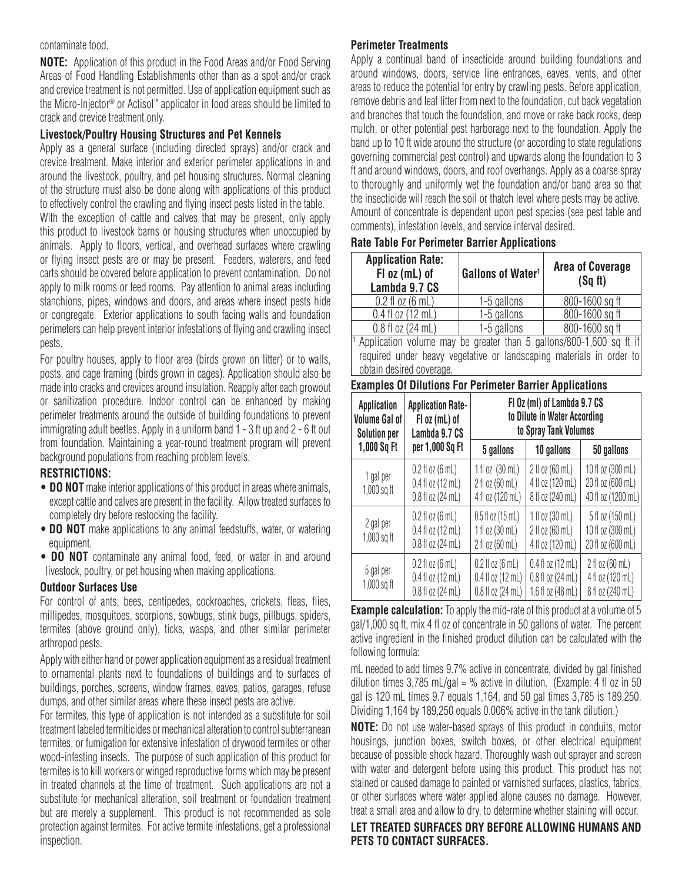#### contaminate food.

**NOTE:** Application of this product in the Food Areas and/or Food Serving Areas of Food Handling Establishments other than as a spot and/or crack and crevice treatment is not permitted. Use of application equipment such as the Micro-Injector® or Actisol™ applicator in food areas should be limited to crack and crevice treatment only.

#### **Livestock/Poultry Housing Structures and Pet Kennels**

Apply as a general surface (including directed sprays) and/or crack and crevice treatment. Make interior and exterior perimeter applications in and around the livestock, poultry, and pet housing structures. Normal cleaning of the structure must also be done along with applications of this product to effectively control the crawling and flying insect pests listed in the table.

With the exception of cattle and calves that may be present, only apply this product to livestock barns or housing structures when unoccupied by animals. Apply to floors, vertical, and overhead surfaces where crawling or flying insect pests are or may be present. Feeders, waterers, and feed carts should be covered before application to prevent contamination. Do not apply to milk rooms or feed rooms. Pay attention to animal areas including stanchions, pipes, windows and doors, and areas where insect pests hide or congregate. Exterior applications to south facing walls and foundation perimeters can help prevent interior infestations of flying and crawling insect pests.

For poultry houses, apply to floor area (birds grown on litter) or to walls, posts, and cage framing (birds grown in cages). Application should also be made into cracks and crevices around insulation. Reapply after each growout or sanitization procedure. Indoor control can be enhanced by making perimeter treatments around the outside of building foundations to prevent immigrating adult beetles. Apply in a uniform band 1 - 3 ft up and 2 - 6 ft out from foundation. Maintaining a year-round treatment program will prevent background populations from reaching problem levels.

#### **RESTRICTIONS:**

- **DO NOT** make interior applications of this product in areas where animals, except cattle and calves are present in the facility. Allow treated surfaces to completely dry before restocking the facility.
- **DO NOT** make applications to any animal feedstuffs, water, or watering equipment.
- **DO NOT** contaminate any animal food, feed, or water in and around livestock, poultry, or pet housing when making applications.

#### **Outdoor Surfaces Use**

For control of ants, bees, centipedes, cockroaches, crickets, fleas, flies, millipedes, mosquitoes, scorpions, sowbugs, stink bugs, pillbugs, spiders, termites (above ground only), ticks, wasps, and other similar perimeter arthropod pests.

Apply with either hand or power application equipment as a residual treatment to ornamental plants next to foundations of buildings and to surfaces of buildings, porches, screens, window frames, eaves, patios, garages, refuse dumps, and other similar areas where these insect pests are active.

For termites, this type of application is not intended as a substitute for soil treatment labeled termiticides or mechanical alteration to control subterranean termites, or fumigation for extensive infestation of drywood termites or other wood-infesting insects. The purpose of such application of this product for termites is to kill workers or winged reproductive forms which may be present in treated channels at the time of treatment. Such applications are not a substitute for mechanical alteration, soil treatment or foundation treatment but are merely a supplement. This product is not recommended as sole protection against termites. For active termite infestations, get a professional inspection.

### **Perimeter Treatments**

Apply a continual band of insecticide around building foundations and around windows, doors, service line entrances, eaves, vents, and other areas to reduce the potential for entry by crawling pests. Before application, remove debris and leaf litter from next to the foundation, cut back vegetation and branches that touch the foundation, and move or rake back rocks, deep mulch, or other potential pest harborage next to the foundation. Apply the band up to 10 ft wide around the structure (or according to state regulations governing commercial pest control) and upwards along the foundation to 3 ft and around windows, doors, and roof overhangs. Apply as a coarse spray to thoroughly and uniformly wet the foundation and/or band area so that the insecticide will reach the soil or thatch level where pests may be active. Amount of concentrate is dependent upon pest species (see pest table and comments), infestation levels, and service interval desired.

#### **Rate Table For Perimeter Barrier Applications**

| <b>Application Rate:</b><br>$F1$ oz (mL) of<br>Lambda 9.7 CS | Gallons of Water <sup>1</sup> | <b>Area of Coverage</b><br>(Sqft) |  |
|--------------------------------------------------------------|-------------------------------|-----------------------------------|--|
| $0.2$ fl oz $(6$ mL)                                         | 1-5 gallons                   | 800-1600 sq ft                    |  |
| $0.4$ fl oz $(12$ mL)                                        | 1-5 gallons                   | 800-1600 sq ft                    |  |
| 0.8 fl oz (24 mL)                                            | 1-5 gallons                   | 800-1600 sq ft                    |  |

Application volume may be greater than 5 gallons/800-1,600 sq ft if required under heavy vegetative or landscaping materials in order to obtain desired coverage.

| <b>Examples Of Dilutions For Perimeter Barrier Applications</b> |  |
|-----------------------------------------------------------------|--|
|-----------------------------------------------------------------|--|

| <b>Application</b><br><b>Volume Gal of</b><br><b>Solution per</b>                                                    | <b>Application Rate-</b><br>$F1$ oz $(mL)$ of<br>Lambda 9.7 CS                         |                                                                                        | FI Oz (ml) of Lambda 9.7 CS<br>to Dilute in Water According<br>to Spray Tank Volumes |                                                                        |
|----------------------------------------------------------------------------------------------------------------------|----------------------------------------------------------------------------------------|----------------------------------------------------------------------------------------|--------------------------------------------------------------------------------------|------------------------------------------------------------------------|
| 1,000 Sq Ft                                                                                                          | per 1,000 Sq Ft                                                                        | 5 gallons                                                                              | 10 gallons                                                                           | 50 gallons                                                             |
| 1 gal per<br>$1,000$ sq ft                                                                                           | $0.2$ fl oz $(6 \text{ mL})$<br>$0.4$ fl oz $(12 \text{ mL})$<br>$0.8$ fl oz $(24$ mL) | $1$ fl oz $(30$ mL)<br>2 fl oz (60 mL)<br>4 fl oz (120 mL)                             | 2 fl oz (60 mL)<br>4 fl oz (120 mL)<br>8 fl oz (240 mL)                              | 10 fl oz $(300 \text{ mL})$<br>20 fl oz (600 mL)<br>40 fl oz (1200 mL) |
| $0.2$ fl oz $(6 \text{ mL})$<br>2 gal per<br>$0.4$ fl oz $(12 \text{ mL})$<br>$1,000$ sq ft<br>$0.8$ fl oz $(24$ mL) |                                                                                        | $0.5$ fl oz $(15$ mL)<br>1 fl oz (30 mL)<br>2 fl oz (60 mL)                            | $1$ fl oz $(30$ mL)<br>2 fl oz (60 mL)<br>4 fl oz (120 mL)                           | 5 fl oz (150 mL)<br>10 fl oz (300 mL)<br>20 fl oz (600 mL)             |
| 5 gal per<br>$1,000$ sq ft                                                                                           | $0.2$ fl oz $(6 \text{ mL})$<br>$0.4$ fl oz $(12$ mL)<br>$0.8$ fl oz $(24$ mL)         | $0.2$ fl oz $(6 \text{ mL})$<br>$0.4$ fl oz $(12$ mL)<br>$0.8$ fl oz $(24 \text{ mL})$ | $0.4$ fl oz $(12 \text{ mL})$<br>$0.8$ fl oz $(24$ mL)<br>1.6 fl oz (48 mL)          | $2$ fl oz (60 mL)<br>4 fl oz (120 mL)<br>8 fl oz (240 mL)              |

**Example calculation:** To apply the mid-rate of this product at a volume of 5 gal/1,000 sq ft, mix 4 fl oz of concentrate in 50 gallons of water. The percent active ingredient in the finished product dilution can be calculated with the following formula:

mL needed to add times 9.7% active in concentrate, divided by gal finished dilution times  $3,785$  mL/gal = % active in dilution. (Example: 4 fl oz in 50 gal is 120 mL times 9.7 equals 1,164, and 50 gal times 3,785 is 189,250. Dividing 1,164 by 189,250 equals 0.006% active in the tank dilution.)

**NOTE:** Do not use water-based sprays of this product in conduits, motor housings, junction boxes, switch boxes, or other electrical equipment because of possible shock hazard. Thoroughly wash out sprayer and screen with water and detergent before using this product. This product has not stained or caused damage to painted or varnished surfaces, plastics, fabrics, or other surfaces where water applied alone causes no damage. However, treat a small area and allow to dry, to determine whether staining will occur.

#### **LET TREATED SURFACES DRY BEFORE ALLOWING HUMANS AND PETS TO CONTACT SURFACES.**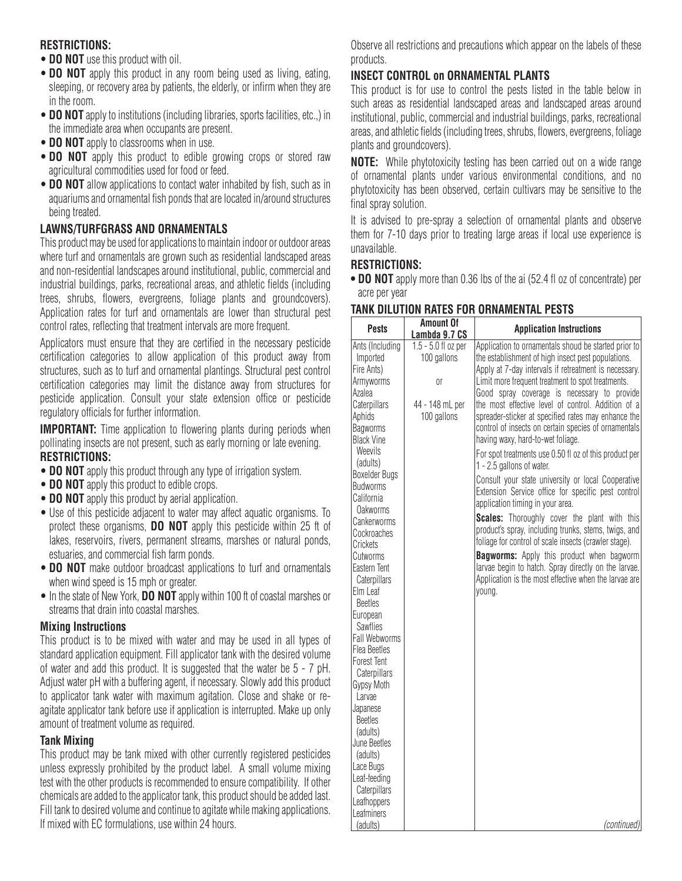### **RESTRICTIONS:**

- **DO NOT** use this product with oil.
- **DO NOT** apply this product in any room being used as living, eating, sleeping, or recovery area by patients, the elderly, or infirm when they are in the room.
- **DO NOT** apply to institutions (including libraries, sports facilities, etc.,) in the immediate area when occupants are present.
- **DO NOT** apply to classrooms when in use.
- **DO NOT** apply this product to edible growing crops or stored raw agricultural commodities used for food or feed.
- **DO NOT** allow applications to contact water inhabited by fish, such as in aquariums and ornamental fish ponds that are located in/around structures being treated.

## **LAWNS/TURFGRASS AND ORNAMENTALS**

This product may be used for applications to maintain indoor or outdoor areas where turf and ornamentals are grown such as residential landscaped areas and non-residential landscapes around institutional, public, commercial and industrial buildings, parks, recreational areas, and athletic fields (including trees, shrubs, flowers, evergreens, foliage plants and groundcovers). Application rates for turf and ornamentals are lower than structural pest control rates, reflecting that treatment intervals are more frequent.

Applicators must ensure that they are certified in the necessary pesticide certification categories to allow application of this product away from structures, such as to turf and ornamental plantings. Structural pest control certification categories may limit the distance away from structures for pesticide application. Consult your state extension office or pesticide regulatory officials for further information.

**IMPORTANT:** Time application to flowering plants during periods when pollinating insects are not present, such as early morning or late evening. **RESTRICTIONS:**

- **DO NOT** apply this product through any type of irrigation system.
- **DO NOT** apply this product to edible crops.
- **DO NOT** apply this product by aerial application.
- Use of this pesticide adjacent to water may affect aquatic organisms. To protect these organisms, **DO NOT** apply this pesticide within 25 ft of lakes, reservoirs, rivers, permanent streams, marshes or natural ponds, estuaries, and commercial fish farm ponds.
- **DO NOT** make outdoor broadcast applications to turf and ornamentals when wind speed is 15 mph or greater.
- In the state of New York, **DO NOT** apply within 100 ft of coastal marshes or streams that drain into coastal marshes.

#### **Mixing Instructions**

This product is to be mixed with water and may be used in all types of standard application equipment. Fill applicator tank with the desired volume of water and add this product. It is suggested that the water be 5 - 7 pH. Adjust water pH with a buffering agent, if necessary. Slowly add this product to applicator tank water with maximum agitation. Close and shake or reagitate applicator tank before use if application is interrupted. Make up only amount of treatment volume as required.

#### **Tank Mixing**

This product may be tank mixed with other currently registered pesticides unless expressly prohibited by the product label. A small volume mixing test with the other products is recommended to ensure compatibility. If other chemicals are added to the applicator tank, this product should be added last. Fill tank to desired volume and continue to agitate while making applications. If mixed with EC formulations, use within 24 hours.

Observe all restrictions and precautions which appear on the labels of these products.

# **INSECT CONTROL on ORNAMENTAL PLANTS**

This product is for use to control the pests listed in the table below in such areas as residential landscaped areas and landscaped areas around institutional, public, commercial and industrial buildings, parks, recreational areas, and athletic fields (including trees, shrubs, flowers, evergreens, foliage plants and groundcovers).

**NOTE:** While phytotoxicity testing has been carried out on a wide range of ornamental plants under various environmental conditions, and no phytotoxicity has been observed, certain cultivars may be sensitive to the final spray solution.

It is advised to pre-spray a selection of ornamental plants and observe them for 7-10 days prior to treating large areas if local use experience is unavailable.

### **RESTRICTIONS:**

**• DO NOT** apply more than 0.36 lbs of the ai (52.4 fl oz of concentrate) per acre per year

| <b>Pests</b>                                                                                                                                                                                                                                                                                                                                                                                                                                                                                                                                                         | <b>Amount Of</b><br>Lambda 9.7 CS                                          | <b>Application Instructions</b>                                                                                                                                                                                                                                                                                                                                                                                                                                                                                                                                                                                                                                                                                                                                                                                                                                                                                                                                                                                                                                                 |
|----------------------------------------------------------------------------------------------------------------------------------------------------------------------------------------------------------------------------------------------------------------------------------------------------------------------------------------------------------------------------------------------------------------------------------------------------------------------------------------------------------------------------------------------------------------------|----------------------------------------------------------------------------|---------------------------------------------------------------------------------------------------------------------------------------------------------------------------------------------------------------------------------------------------------------------------------------------------------------------------------------------------------------------------------------------------------------------------------------------------------------------------------------------------------------------------------------------------------------------------------------------------------------------------------------------------------------------------------------------------------------------------------------------------------------------------------------------------------------------------------------------------------------------------------------------------------------------------------------------------------------------------------------------------------------------------------------------------------------------------------|
| Ants (Including<br>Imported<br>Fire Ants)<br>Armyworms<br>Azalea<br>Caterpillars<br>Aphids<br><b>Bagworms</b><br><b>Black Vine</b><br>Weevils<br>(adults)<br><b>Boxelder Bugs</b><br><b>Budworms</b><br>California<br>Oakworms<br>Cankerworms<br>Cockroaches<br>Crickets<br>Cutworms<br>Eastern Tent<br>Caterpillars<br>Elm Leaf<br><b>Beetles</b><br>European<br><b>Sawflies</b><br><b>Fall Webworms</b><br><b>Flea Beetles</b><br><b>Forest Tent</b><br>Caterpillars<br>Gypsy Moth<br>Larvae<br>Japanese<br><b>Beetles</b><br>(adults)<br>June Beetles<br>(adults) | 1.5 - 5.0 fl oz per<br>100 gallons<br>0ľ<br>44 - 148 mL per<br>100 gallons | Application to ornamentals shoud be started prior to<br>the establishment of high insect pest populations.<br>Apply at 7-day intervals if retreatment is necessary.<br>Limit more frequent treatment to spot treatments.<br>Good spray coverage is necessary to provide<br>the most effective level of control. Addition of a<br>spreader-sticker at specified rates may enhance the<br>control of insects on certain species of ornamentals<br>having waxy, hard-to-wet foliage.<br>For spot treatments use 0.50 fl oz of this product per<br>1 - 2.5 gallons of water.<br>Consult your state university or local Cooperative<br>Extension Service office for specific pest control<br>application timing in your area.<br><b>Scales:</b> Thoroughly cover the plant with this<br>product's spray, including trunks, stems, twigs, and<br>foliage for control of scale insects (crawler stage).<br><b>Bagworms:</b> Apply this product when bagworm<br>larvae begin to hatch. Spray directly on the larvae.<br>Application is the most effective when the larvae are<br>young. |
| Lace Bugs<br>Leaf-feeding<br>Caterpillars<br>Leafhoppers<br>Leafminers<br>(adults)                                                                                                                                                                                                                                                                                                                                                                                                                                                                                   |                                                                            | (continued)                                                                                                                                                                                                                                                                                                                                                                                                                                                                                                                                                                                                                                                                                                                                                                                                                                                                                                                                                                                                                                                                     |
|                                                                                                                                                                                                                                                                                                                                                                                                                                                                                                                                                                      |                                                                            |                                                                                                                                                                                                                                                                                                                                                                                                                                                                                                                                                                                                                                                                                                                                                                                                                                                                                                                                                                                                                                                                                 |

#### **TANK DILUTION RATES FOR ORNAMENTAL PESTS**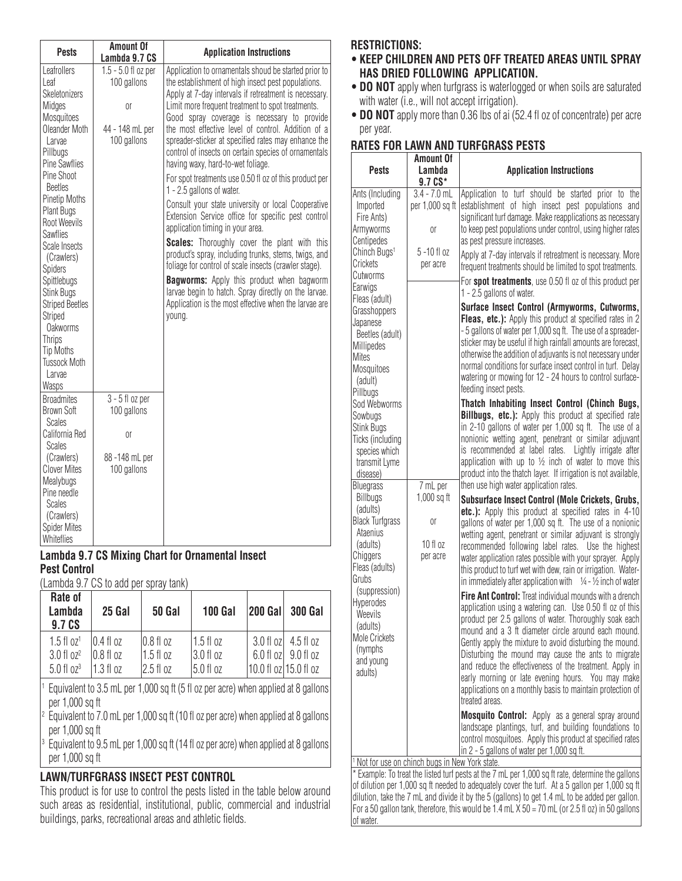| <b>Pests</b>                                                                                                                                                                                                                                                                                                                                                                                                                                                                   | <b>Amount Of</b><br>Lambda 9.7 CS                                            | <b>Application Instructions</b>                                                                                                                                                                                                                                                                                                                                                                                                                                                                                                                                                                                                                                                                                                                                                                                                                                                                                                                                                                                                                                          |
|--------------------------------------------------------------------------------------------------------------------------------------------------------------------------------------------------------------------------------------------------------------------------------------------------------------------------------------------------------------------------------------------------------------------------------------------------------------------------------|------------------------------------------------------------------------------|--------------------------------------------------------------------------------------------------------------------------------------------------------------------------------------------------------------------------------------------------------------------------------------------------------------------------------------------------------------------------------------------------------------------------------------------------------------------------------------------------------------------------------------------------------------------------------------------------------------------------------------------------------------------------------------------------------------------------------------------------------------------------------------------------------------------------------------------------------------------------------------------------------------------------------------------------------------------------------------------------------------------------------------------------------------------------|
| Leafrollers<br>Leaf<br>Skeletonizers<br>Midges<br><b>Mosquitoes</b><br>Oleander Moth<br>Larvae<br>Pillbugs<br><b>Pine Sawflies</b><br>Pine Shoot<br><b>Beetles</b><br><b>Pinetip Moths</b><br>Plant Bugs<br>Root Weevils<br><b>Sawflies</b><br>Scale Insects<br>(Crawlers)<br><b>Spiders</b><br>Spittlebugs<br><b>Stink Bugs</b><br><b>Striped Beetles</b><br><b>Striped</b><br><b>Oakworms</b><br><b>Thrips</b><br><b>Tip Moths</b><br><b>Tussock Moth</b><br>Larvae<br>Wasps | $1.5 - 5.0$ fl oz per<br>100 gallons<br>0ľ<br>44 - 148 mL per<br>100 gallons | Application to ornamentals shoud be started prior to<br>the establishment of high insect pest populations.<br>Apply at 7-day intervals if retreatment is necessary.<br>Limit more frequent treatment to spot treatments.<br>Good spray coverage is necessary to provide<br>the most effective level of control. Addition of a<br>spreader-sticker at specified rates may enhance the<br>control of insects on certain species of ornamentals<br>having waxy, hard-to-wet foliage.<br>For spot treatments use 0.50 fl oz of this product per<br>1 - 2.5 gallons of water.<br>Consult your state university or local Cooperative<br>Extension Service office for specific pest control<br>application timing in your area.<br>Scales: Thoroughly cover the plant with this<br>product's spray, including trunks, stems, twigs, and<br>foliage for control of scale insects (crawler stage).<br><b>Bagworms:</b> Apply this product when bagworm<br>larvae begin to hatch. Spray directly on the larvae.<br>Application is the most effective when the larvae are<br>young. |
| <b>Broadmites</b><br><b>Brown Soft</b><br>Scales<br>California Red                                                                                                                                                                                                                                                                                                                                                                                                             | $3 - 5$ fl oz per<br>100 gallons<br>0ľ                                       |                                                                                                                                                                                                                                                                                                                                                                                                                                                                                                                                                                                                                                                                                                                                                                                                                                                                                                                                                                                                                                                                          |
| <b>Scales</b><br>(Crawlers)<br><b>Clover Mites</b><br>Mealybugs<br>Pine needle<br><b>Scales</b><br>(Crawlers)<br><b>Spider Mites</b><br>Whiteflies                                                                                                                                                                                                                                                                                                                             | 88-148 mL per<br>100 gallons                                                 |                                                                                                                                                                                                                                                                                                                                                                                                                                                                                                                                                                                                                                                                                                                                                                                                                                                                                                                                                                                                                                                                          |

#### **Lambda 9.7 CS Mixing Chart for Ornamental Insect Pest Control**

(Lambda 9.7 CS to add per spray tank)

| Rate of<br>Lambda<br>9.7 CS       | 25 Gal               | <b>50 Gal</b> | 100 Gal     | <b>200 Gall</b>       | <b>300 Gal</b>                |
|-----------------------------------|----------------------|---------------|-------------|-----------------------|-------------------------------|
| $1.5 \text{ fl }$ 0z <sup>1</sup> | $10.4$ fl oz         | $0.8f$ oz     | $1.5$ fl oz |                       | 3.0 fl ozl 4.5 fl oz          |
| 3.0 f1 oz <sup>2</sup>            | $10.8 \text{ fl oz}$ | $1.5f$ loz    | 3.0 fl oz   |                       | $6.0$ fl oz $\vert$ 9.0 fl oz |
| $5.0$ fl $0z3$                    | l 1.3 fl oz          | 12.5 fl oz    | 5.0 fl oz   | 10.0 fl oz 15.0 fl oz |                               |
|                                   |                      |               |             |                       |                               |

Equivalent to 3.5 mL per 1,000 sq ft (5 fl oz per acre) when applied at 8 gallons per 1,000 sq ft

<sup>2</sup> Equivalent to 7.0 mL per 1,000 sq ft (10 fl oz per acre) when applied at 8 gallons per 1,000 sq ft

Equivalent to 9.5 mL per 1,000 sq ft (14 fl oz per acre) when applied at 8 gallons per 1,000 sq ft

# **LAWN/TURFGRASS INSECT PEST CONTROL**

This product is for use to control the pests listed in the table below around such areas as residential, institutional, public, commercial and industrial buildings, parks, recreational areas and athletic fields.

# **RESTRICTIONS:**

- **KEEP CHILDREN AND PETS OFF TREATED AREAS UNTIL SPRAY HAS DRIED FOLLOWING APPLICATION.**
- **DO NOT** apply when turfgrass is waterlogged or when soils are saturated with water (i.e., will not accept irrigation).
- • **DO NOT** apply more than 0.36 lbs of ai (52.4 fl oz of concentrate) per acre per year.

# **RATES FOR LAWN AND TURFGRASS PESTS**

| <b>Pests</b>                                                                                                 | <b>Amount Of</b><br>Lambda<br>9.7 CS*         | <b>Application Instructions</b>                                                                                                                                                                                                                                                                                                                                                                                                                                                                                                                      |
|--------------------------------------------------------------------------------------------------------------|-----------------------------------------------|------------------------------------------------------------------------------------------------------------------------------------------------------------------------------------------------------------------------------------------------------------------------------------------------------------------------------------------------------------------------------------------------------------------------------------------------------------------------------------------------------------------------------------------------------|
| Ants (Including<br>Imported<br>Fire Ants)<br>Armyworms<br>Centipedes                                         | $3.4 - 7.0$ mL<br>per 1,000 sq ft<br>0ľ       | Application to turf should be started prior to the<br>establishment of high insect pest populations and<br>significant turf damage. Make reapplications as necessary<br>to keep pest populations under control, using higher rates<br>as pest pressure increases.                                                                                                                                                                                                                                                                                    |
| Chinch Bugs <sup>1</sup><br>Crickets<br>Cutworms                                                             | 5 - 10 fl oz<br>per acre                      | Apply at 7-day intervals if retreatment is necessary. More<br>frequent treatments should be limited to spot treatments.                                                                                                                                                                                                                                                                                                                                                                                                                              |
| Earwigs<br>Fleas (adult)                                                                                     |                                               | For spot treatments, use 0.50 fl oz of this product per<br>1 - 2.5 gallons of water.                                                                                                                                                                                                                                                                                                                                                                                                                                                                 |
| Grasshoppers<br>Japanese<br>Beetles (adult)<br>Millipedes<br>Mites<br>Mosquitoes<br>(adult)<br>Pillbugs      |                                               | Surface Insect Control (Armyworms, Cutworms,<br>Fleas, etc.): Apply this product at specified rates in 2<br>-5 gallons of water per 1,000 sq ft. The use of a spreader-<br>sticker may be useful if high rainfall amounts are forecast,<br>otherwise the addition of adjuvants is not necessary under<br>normal conditions for surface insect control in turf. Delay<br>watering or mowing for 12 - 24 hours to control surface-<br>feeding insect pests.                                                                                            |
| Sod Webworms                                                                                                 |                                               | Thatch Inhabiting Insect Control (Chinch Bugs,                                                                                                                                                                                                                                                                                                                                                                                                                                                                                                       |
| Sowbugs<br>Stink Bugs<br>Ticks (including<br>species which<br>transmit Lyme<br>disease)<br><b>Bluegrass</b>  | 7 mL per                                      | <b>Billbugs, etc.):</b> Apply this product at specified rate<br>in 2-10 gallons of water per 1,000 sq ft. The use of a<br>nonionic wetting agent, penetrant or similar adjuvant<br>is recommended at label rates. Lightly irrigate after<br>application with up to $\frac{1}{2}$ inch of water to move this<br>product into the thatch layer. If irrigation is not available,<br>then use high water application rates.                                                                                                                              |
| <b>Billbugs</b>                                                                                              | 1,000 sq ft                                   | Subsurface Insect Control (Mole Crickets, Grubs,                                                                                                                                                                                                                                                                                                                                                                                                                                                                                                     |
| (adults)<br><b>Black Turfgrass</b><br>Ataenius<br>(adults)<br>Chiggers<br>Fleas (adults)<br>Grubs            | 0ľ<br>10 f1 oz<br>per acre                    | etc.): Apply this product at specified rates in 4-10<br>gallons of water per 1,000 sq ft. The use of a nonionic<br>wetting agent, penetrant or similar adjuvant is strongly<br>recommended following label rates. Use the highest<br>water application rates possible with your sprayer. Apply<br>this product to turf wet with dew, rain or irrigation. Water-<br>in immediately after application with $\frac{1}{4}$ - $\frac{1}{2}$ inch of water                                                                                                 |
| (suppression)<br><b>Hyperodes</b><br>Weevils<br>(adults)<br>Mole Crickets<br>(nymphs<br>and young<br>adults) |                                               | Fire Ant Control: Treat individual mounds with a drench<br>application using a watering can. Use 0.50 fl oz of this<br>product per 2.5 gallons of water. Thoroughly soak each<br>mound and a 3 ft diameter circle around each mound.<br>Gently apply the mixture to avoid disturbing the mound.<br>Disturbing the mound may cause the ants to migrate<br>and reduce the effectiveness of the treatment. Apply in<br>early morning or late evening hours. You may make<br>applications on a monthly basis to maintain protection of<br>treated areas. |
|                                                                                                              |                                               | Mosquito Control: Apply as a general spray around<br>landscape plantings, turf, and building foundations to<br>control mosquitoes. Apply this product at specified rates<br>in 2 - 5 gallons of water per 1,000 sq ft.                                                                                                                                                                                                                                                                                                                               |
|                                                                                                              | Not for use on chinch bugs in New York state. | * Example: To treat the listed turf pests at the 7 mL per 1,000 sq ft rate, determine the gallons                                                                                                                                                                                                                                                                                                                                                                                                                                                    |

\* Example: To treat the listed turf pests at the 7 mL per 1,000 sq ft rate, determine the gallons of dilution per 1,000 sq ft needed to adequately cover the turf. At a 5 gallon per 1,000 sq ft dilution, take the 7 mL and divide it by the 5 (gallons) to get 1.4 mL to be added per gallon. For a 50 gallon tank, therefore, this would be  $1.4$  mL  $\times$  50 = 70 mL (or 2.5 fl oz) in 50 gallons of water.